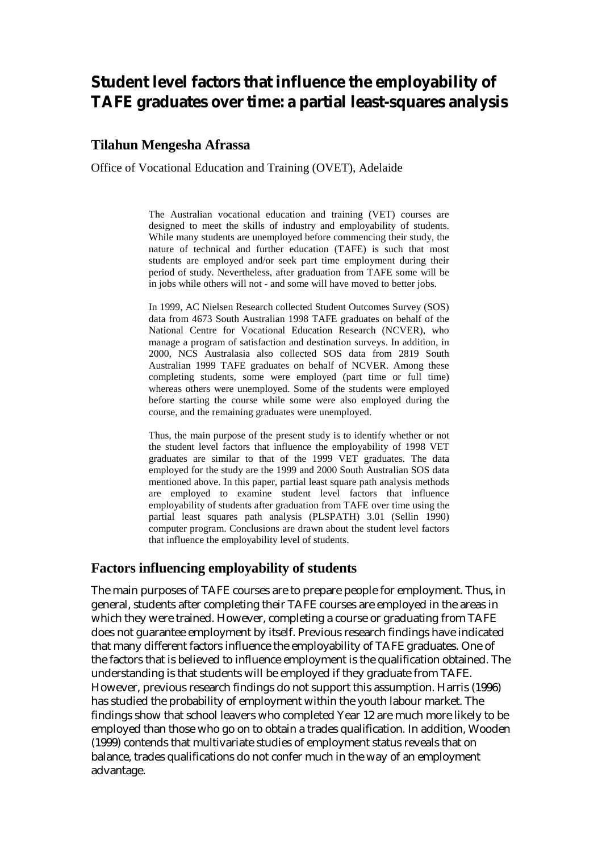# **Student level factors that influence the employability of TAFE graduates over time: a partial least-squares analysis**

## **Tilahun Mengesha Afrassa**

Office of Vocational Education and Training (OVET), Adelaide

The Australian vocational education and training (VET) courses are designed to meet the skills of industry and employability of students. While many students are unemployed before commencing their study, the nature of technical and further education (TAFE) is such that most students are employed and/or seek part time employment during their period of study. Nevertheless, after graduation from TAFE some will be in jobs while others will not - and some will have moved to better jobs.

In 1999, AC Nielsen Research collected Student Outcomes Survey (SOS) data from 4673 South Australian 1998 TAFE graduates on behalf of the National Centre for Vocational Education Research (NCVER), who manage a program of satisfaction and destination surveys. In addition, in 2000, NCS Australasia also collected SOS data from 2819 South Australian 1999 TAFE graduates on behalf of NCVER. Among these completing students, some were employed (part time or full time) whereas others were unemployed. Some of the students were employed before starting the course while some were also employed during the course, and the remaining graduates were unemployed.

Thus, the main purpose of the present study is to identify whether or not the student level factors that influence the employability of 1998 VET graduates are similar to that of the 1999 VET graduates. The data employed for the study are the 1999 and 2000 South Australian SOS data mentioned above. In this paper, partial least square path analysis methods are employed to examine student level factors that influence employability of students after graduation from TAFE over time using the partial least squares path analysis (PLSPATH) 3.01 (Sellin 1990) computer program. Conclusions are drawn about the student level factors that influence the employability level of students.

### **Factors influencing employability of students**

The main purposes of TAFE courses are to prepare people for employment. Thus, in general, students after completing their TAFE courses are employed in the areas in which they were trained. However, completing a course or graduating from TAFE does not guarantee employment by itself. Previous research findings have indicated that many different factors influence the employability of TAFE graduates. One of the factors that is believed to influence employment is the qualification obtained. The understanding is that students will be employed if they graduate from TAFE. However, previous research findings do not support this assumption. Harris (1996) has studied the probability of employment within the youth labour market. The findings show that school leavers who completed Year 12 are much more likely to be employed than those who go on to obtain a trades qualification. In addition, Wooden (1999) contends that multivariate studies of employment status reveals that on balance, trades qualifications do not confer much in the way of an employment advantage.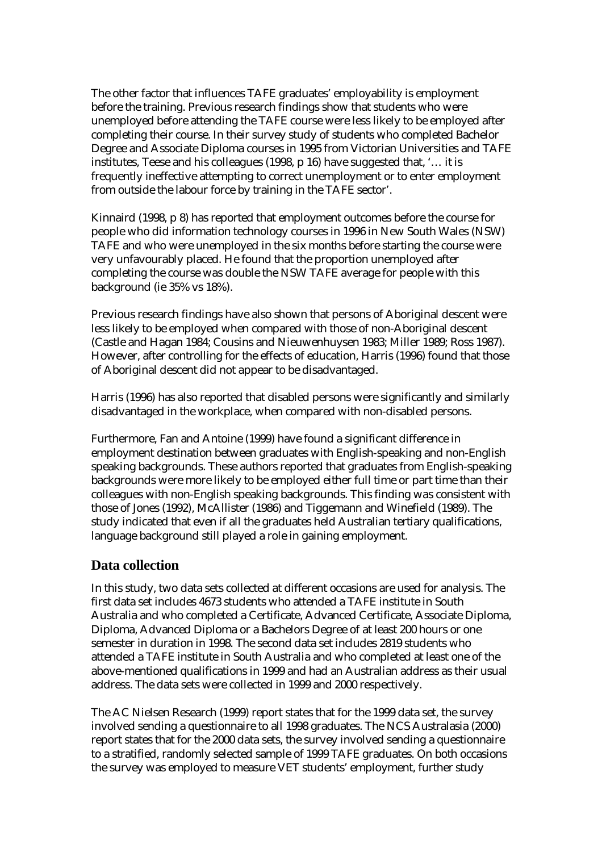The other factor that influences TAFE graduates' employability is employment before the training. Previous research findings show that students who were unemployed before attending the TAFE course were less likely to be employed after completing their course. In their survey study of students who completed Bachelor Degree and Associate Diploma courses in 1995 from Victorian Universities and TAFE institutes, Teese and his colleagues (1998, p 16) have suggested that, '… it is frequently ineffective attempting to correct unemployment or to enter employment from outside the labour force by training in the TAFE sector'.

Kinnaird (1998, p 8) has reported that employment outcomes before the course for people who did information technology courses in 1996 in New South Wales (NSW) TAFE and who were unemployed in the six months before starting the course were very unfavourably placed. He found that the proportion unemployed after completing the course was double the NSW TAFE average for people with this background (ie 35% vs 18%).

Previous research findings have also shown that persons of Aboriginal descent were less likely to be employed when compared with those of non-Aboriginal descent (Castle and Hagan 1984; Cousins and Nieuwenhuysen 1983; Miller 1989; Ross 1987). However, after controlling for the effects of education, Harris (1996) found that those of Aboriginal descent did not appear to be disadvantaged.

Harris (1996) has also reported that disabled persons were significantly and similarly disadvantaged in the workplace, when compared with non-disabled persons.

Furthermore, Fan and Antoine (1999) have found a significant difference in employment destination between graduates with English-speaking and non-English speaking backgrounds. These authors reported that graduates from English-speaking backgrounds were more likely to be employed either full time or part time than their colleagues with non-English speaking backgrounds. This finding was consistent with those of Jones (1992), McAllister (1986) and Tiggemann and Winefield (1989). The study indicated that even if all the graduates held Australian tertiary qualifications, language background still played a role in gaining employment.

### **Data collection**

In this study, two data sets collected at different occasions are used for analysis. The first data set includes 4673 students who attended a TAFE institute in South Australia and who completed a Certificate, Advanced Certificate, Associate Diploma, Diploma, Advanced Diploma or a Bachelors Degree of at least 200 hours or one semester in duration in 1998. The second data set includes 2819 students who attended a TAFE institute in South Australia and who completed at least one of the above-mentioned qualifications in 1999 and had an Australian address as their usual address. The data sets were collected in 1999 and 2000 respectively.

The AC Nielsen Research (1999) report states that for the 1999 data set, the survey involved sending a questionnaire to all 1998 graduates. The NCS Australasia (2000) report states that for the 2000 data sets, the survey involved sending a questionnaire to a stratified, randomly selected sample of 1999 TAFE graduates. On both occasions the survey was employed to measure VET students' employment, further study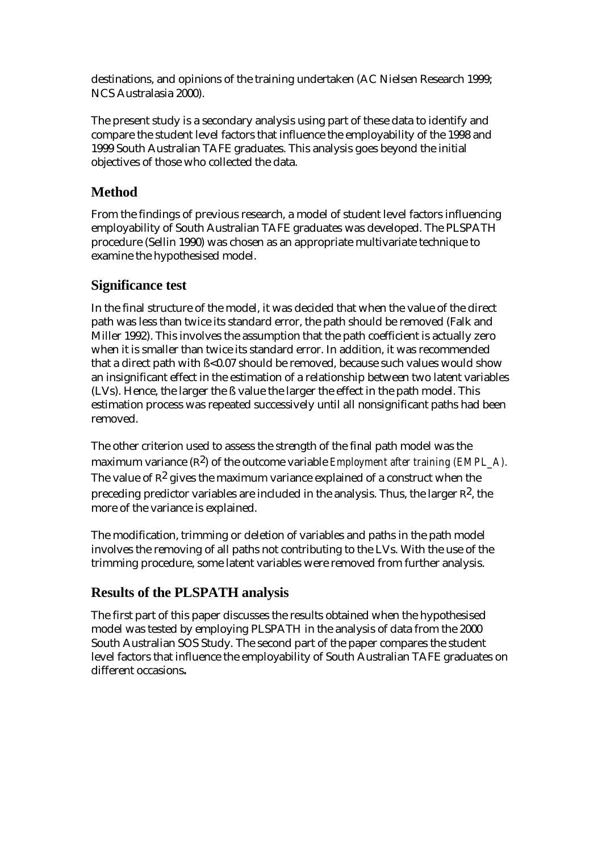destinations, and opinions of the training undertaken (AC Nielsen Research 1999; NCS Australasia 2000).

The present study is a secondary analysis using part of these data to identify and compare the student level factors that influence the employability of the 1998 and 1999 South Australian TAFE graduates. This analysis goes beyond the initial objectives of those who collected the data.

# **Method**

From the findings of previous research, a model of student level factors influencing employability of South Australian TAFE graduates was developed. The PLSPATH procedure (Sellin 1990) was chosen as an appropriate multivariate technique to examine the hypothesised model.

# **Significance test**

In the final structure of the model, it was decided that when the value of the direct path was less than twice its standard error, the path should be removed (Falk and Miller 1992). This involves the assumption that the path coefficient is actually zero when it is smaller than twice its standard error. In addition, it was recommended that a direct path with ß<0.07 should be removed, because such values would show an insignificant effect in the estimation of a relationship between two latent variables (LVs). Hence, the larger the ß value the larger the effect in the path model. This estimation process was repeated successively until all nonsignificant paths had been removed.

The other criterion used to assess the strength of the final path model was the maximum variance  $(\mathbb{R}^2)$  of the outcome variable *Employment after training (EMPL A)*. The value of  $\mathbb{R}^2$  gives the maximum variance explained of a construct when the preceding predictor variables are included in the analysis. Thus, the larger  $R^2$ , the more of the variance is explained.

The modification, trimming or deletion of variables and paths in the path model involves the removing of all paths not contributing to the LVs. With the use of the trimming procedure, some latent variables were removed from further analysis.

# **Results of the PLSPATH analysis**

The first part of this paper discusses the results obtained when the hypothesised model was tested by employing PLSPATH in the analysis of data from the 2000 South Australian SOS Study. The second part of the paper compares the student level factors that influence the employability of South Australian TAFE graduates on different occasions**.**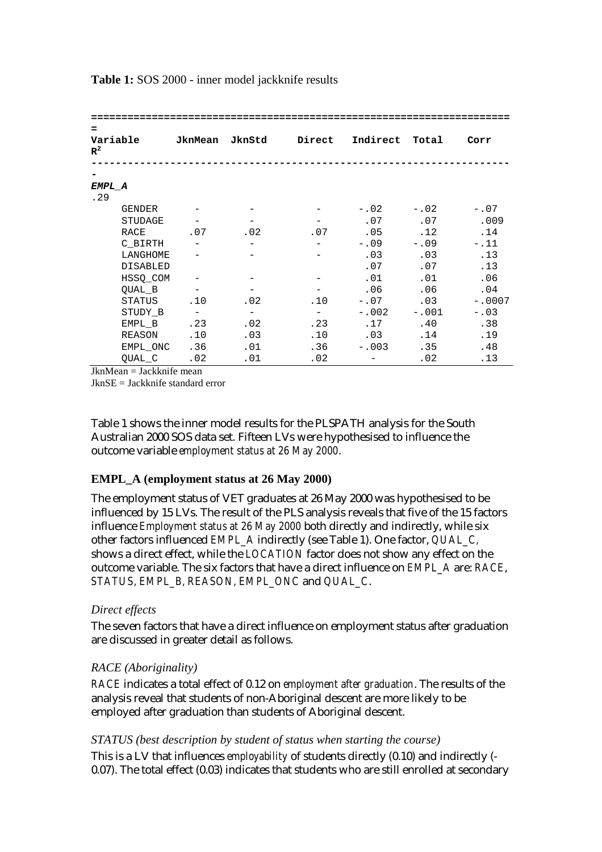| $\equiv$<br>Variable<br>$R^2$ |                 | JknMean | JknStd | Direct                   |         | Indirect Total | Corr     |  |  |  |  |  |
|-------------------------------|-----------------|---------|--------|--------------------------|---------|----------------|----------|--|--|--|--|--|
|                               |                 |         |        |                          |         |                |          |  |  |  |  |  |
| EMPL A                        |                 |         |        |                          |         |                |          |  |  |  |  |  |
| .29                           |                 |         |        |                          |         |                |          |  |  |  |  |  |
|                               | GENDER          |         |        |                          | $-.02$  | $-.02$         | $-.07$   |  |  |  |  |  |
|                               | <b>STUDAGE</b>  |         |        |                          | .07     | .07            | .009     |  |  |  |  |  |
| RACE                          |                 | .07     | .02    | .07                      | .05     | .12            | .14      |  |  |  |  |  |
|                               | C BIRTH         |         |        |                          | $-.09$  | $-0.09$        | $-.11$   |  |  |  |  |  |
|                               | LANGHOME        |         |        |                          | .03     | .03            | .13      |  |  |  |  |  |
|                               | <b>DISABLED</b> |         |        |                          | .07     | .07            | .13      |  |  |  |  |  |
|                               | HSSQ COM        |         |        |                          | .01     | .01            | .06      |  |  |  |  |  |
|                               | QUAL B          |         |        | $\overline{\phantom{m}}$ | .06     | .06            | .04      |  |  |  |  |  |
|                               | STATUS          | .10     | .02    | .10                      | $-.07$  | .03            | $-.0007$ |  |  |  |  |  |
|                               | STUDY B         |         |        | $\overline{a}$           | $-.002$ | $-.001$        | $-.03$   |  |  |  |  |  |
|                               | EMPL B          | .23     | .02    | .23                      | .17     | .40            | .38      |  |  |  |  |  |
|                               | REASON          | .10     | .03    | .10                      | .03     | .14            | .19      |  |  |  |  |  |
|                               | EMPL ONC        | .36     | .01    | .36                      | $-.003$ | .35            | .48      |  |  |  |  |  |
|                               | QUAL C          | .02     | .01    | .02                      |         | .02            | .13      |  |  |  |  |  |

**Table 1:** SOS 2000 - inner model jackknife results

JknMean = Jackknife mean

JknSE = Jackknife standard error

Table 1 shows the inner model results for the PLSPATH analysis for the South Australian 2000 SOS data set. Fifteen LVs were hypothesised to influence the outcome variable *employment status at 26 May 2000*.

### **EMPL\_A (employment status at 26 May 2000)**

The employment status of VET graduates at 26 May 2000 was hypothesised to be influenced by 15 LVs. The result of the PLS analysis reveals that five of the 15 factors influence *Employment status at 26 May 2000* both directly and indirectly, while six other factors influenced *EMPL\_A* indirectly (see Table 1). One factor, *QUAL\_C,* shows a direct effect, while the *LOCATION* factor does not show any effect on the outcome variable. The six factors that have a direct influence on *EMPL\_A* are: *RACE*, *STATUS, EMPL\_B, REASON, EMPL\_ONC* and *QUAL\_C*.

### *Direct effects*

The seven factors that have a direct influence on employment status after graduation are discussed in greater detail as follows.

### *RACE (Aboriginality)*

*RACE* indicates a total effect of 0.12 on *employment after graduation*. The results of the analysis reveal that students of non-Aboriginal descent are more likely to be employed after graduation than students of Aboriginal descent.

### *STATUS (best description by student of status when starting the course)*

This is a LV that influences *employability* of students directly (0.10) and indirectly (- 0.07). The total effect (0.03) indicates that students who are still enrolled at secondary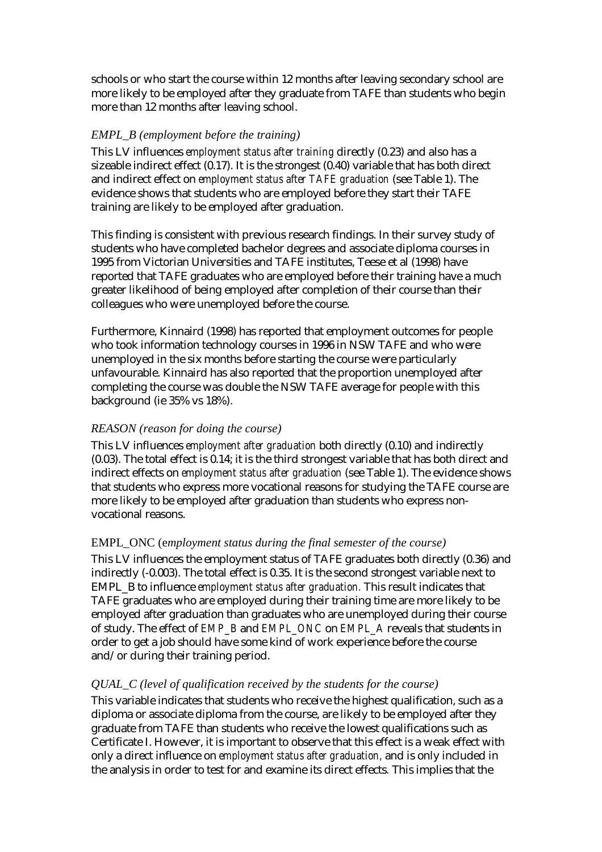schools or who start the course within 12 months after leaving secondary school are more likely to be employed after they graduate from TAFE than students who begin more than 12 months after leaving school.

### *EMPL\_B (employment before the training)*

This LV influences *employment status after training* directly (0.23) and also has a sizeable indirect effect (0.17). It is the strongest (0.40) variable that has both direct and indirect effect on *employment status after TAFE graduation* (see Table 1). The evidence shows that students who are employed before they start their TAFE training are likely to be employed after graduation.

This finding is consistent with previous research findings. In their survey study of students who have completed bachelor degrees and associate diploma courses in 1995 from Victorian Universities and TAFE institutes, Teese et al (1998) have reported that TAFE graduates who are employed before their training have a much greater likelihood of being employed after completion of their course than their colleagues who were unemployed before the course.

Furthermore, Kinnaird (1998) has reported that employment outcomes for people who took information technology courses in 1996 in NSW TAFE and who were unemployed in the six months before starting the course were particularly unfavourable. Kinnaird has also reported that the proportion unemployed after completing the course was double the NSW TAFE average for people with this background (ie 35% vs 18%).

### *REASON (reason for doing the course)*

This LV influences *employment after graduation* both directly (0.10) and indirectly (0.03). The total effect is 0.14; it is the third strongest variable that has both direct and indirect effects on *employment status after graduation* (see Table 1). The evidence shows that students who express more vocational reasons for studying the TAFE course are more likely to be employed after graduation than students who express nonvocational reasons.

### EMPL\_ONC (e*mployment status during the final semester of the course)*

This LV influences the employment status of TAFE graduates both directly (0.36) and indirectly (-0.003). The total effect is 0.35. It is the second strongest variable next to EMPL\_B to influence *employment status after graduation.* This result indicates that TAFE graduates who are employed during their training time are more likely to be employed after graduation than graduates who are unemployed during their course of study. The effect of *EMP\_B* and *EMPL\_ONC* on *EMPL\_A* reveals that students in order to get a job should have some kind of work experience before the course and/or during their training period.

### *QUAL\_C (level of qualification received by the students for the course)*

This variable indicates that students who receive the highest qualification, such as a diploma or associate diploma from the course, are likely to be employed after they graduate from TAFE than students who receive the lowest qualifications such as Certificate I. However, it is important to observe that this effect is a weak effect with only a direct influence on *employment status after graduation,* and is only included in the analysis in order to test for and examine its direct effects*.* This implies that the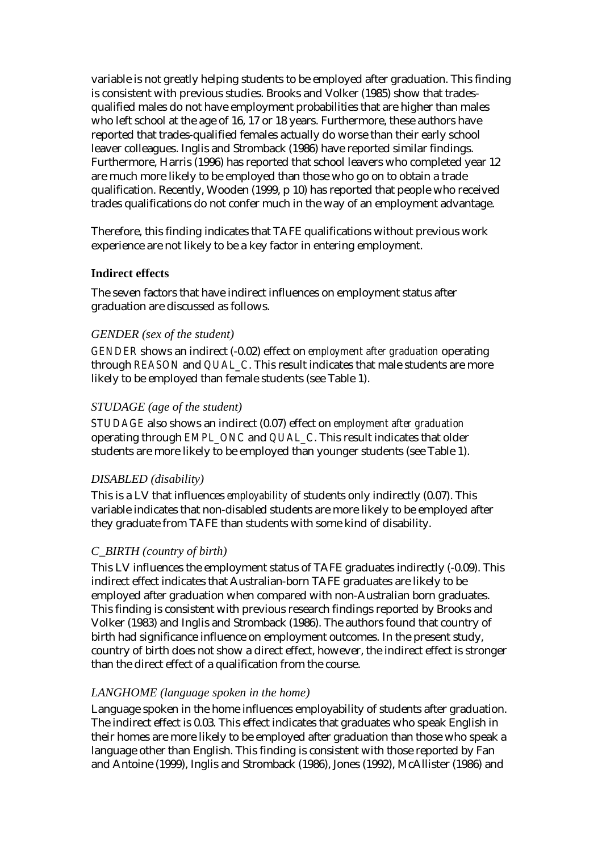variable is not greatly helping students to be employed after graduation. This finding is consistent with previous studies. Brooks and Volker (1985) show that tradesqualified males do not have employment probabilities that are higher than males who left school at the age of 16, 17 or 18 years. Furthermore, these authors have reported that trades-qualified females actually do worse than their early school leaver colleagues. Inglis and Stromback (1986) have reported similar findings. Furthermore, Harris (1996) has reported that school leavers who completed year 12 are much more likely to be employed than those who go on to obtain a trade qualification. Recently, Wooden (1999, p 10) has reported that people who received trades qualifications do not confer much in the way of an employment advantage.

Therefore, this finding indicates that TAFE qualifications without previous work experience are not likely to be a key factor in entering employment.

### **Indirect effects**

The seven factors that have indirect influences on employment status after graduation are discussed as follows.

### *GENDER (sex of the student)*

*GENDER* shows an indirect (-0.02) effect on *employment after graduation* operating through *REASON* and *QUAL\_C*. This result indicates that male students are more likely to be employed than female students (see Table 1).

### *STUDAGE (age of the student)*

*STUDAGE* also shows an indirect (0.07) effect on *employment after graduation* operating through *EMPL\_ONC* and *QUAL\_C*. This result indicates that older students are more likely to be employed than younger students (see Table 1).

### *DISABLED (disability)*

This is a LV that influences *employability* of students only indirectly (0.07). This variable indicates that non-disabled students are more likely to be employed after they graduate from TAFE than students with some kind of disability.

### *C\_BIRTH (country of birth)*

This LV influences the employment status of TAFE graduates indirectly (-0.09). This indirect effect indicates that Australian-born TAFE graduates are likely to be employed after graduation when compared with non-Australian born graduates. This finding is consistent with previous research findings reported by Brooks and Volker (1983) and Inglis and Stromback (1986). The authors found that country of birth had significance influence on employment outcomes. In the present study, country of birth does not show a direct effect, however, the indirect effect is stronger than the direct effect of a qualification from the course.

### *LANGHOME (language spoken in the home)*

Language spoken in the home influences employability of students after graduation. The indirect effect is 0.03. This effect indicates that graduates who speak English in their homes are more likely to be employed after graduation than those who speak a language other than English. This finding is consistent with those reported by Fan and Antoine (1999), Inglis and Stromback (1986), Jones (1992), McAllister (1986) and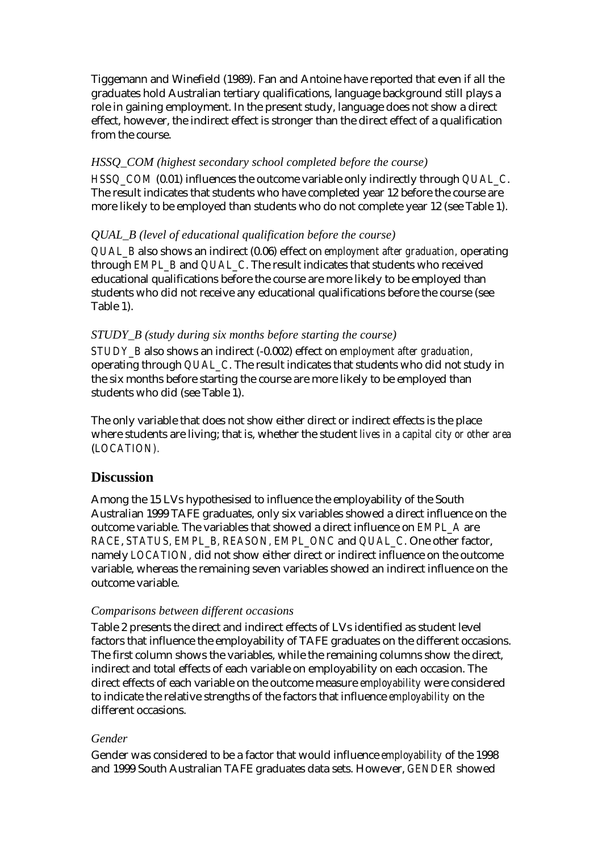Tiggemann and Winefield (1989). Fan and Antoine have reported that even if all the graduates hold Australian tertiary qualifications, language background still plays a role in gaining employment. In the present study, language does not show a direct effect, however, the indirect effect is stronger than the direct effect of a qualification from the course.

### *HSSQ\_COM (highest secondary school completed before the course)*

*HSSQ\_COM* (0.01) influences the outcome variable only indirectly through *QUAL\_C*. The result indicates that students who have completed year 12 before the course are more likely to be employed than students who do not complete year 12 (see Table 1).

### *QUAL\_B (level of educational qualification before the course)*

*QUAL\_B* also shows an indirect (0.06) effect on *employment after graduation,* operating through *EMPL\_B* and *QUAL\_C*. The result indicates that students who received educational qualifications before the course are more likely to be employed than students who did not receive any educational qualifications before the course (see Table 1).

### *STUDY\_B (study during six months before starting the course)*

*STUDY\_B* also shows an indirect (-0.002) effect on *employment after graduation,* operating through *QUAL\_C*. The result indicates that students who did not study in the six months before starting the course are more likely to be employed than students who did (see Table 1).

The only variable that does not show either direct or indirect effects is the place where students are living; that is, whether the student *lives in a capital city or other area* (*LOCATION).* 

### **Discussion**

Among the 15 LVs hypothesised to influence the employability of the South Australian 1999 TAFE graduates, only six variables showed a direct influence on the outcome variable. The variables that showed a direct influence on *EMPL\_A* are *RACE*, *STATUS, EMPL\_B, REASON, EMPL\_ONC* and *QUAL\_C*. One other factor, namely *LOCATION,* did not show either direct or indirect influence on the outcome variable, whereas the remaining seven variables showed an indirect influence on the outcome variable.

#### *Comparisons between different occasions*

Table 2 presents the direct and indirect effects of LVs identified as student level factors that influence the employability of TAFE graduates on the different occasions. The first column shows the variables, while the remaining columns show the direct, indirect and total effects of each variable on employability on each occasion. The direct effects of each variable on the outcome measure *employability* were considered to indicate the relative strengths of the factors that influence *employability* on the different occasions.

### *Gender*

Gender was considered to be a factor that would influence *employability* of the 1998 and 1999 South Australian TAFE graduates data sets. However, *GENDER* showed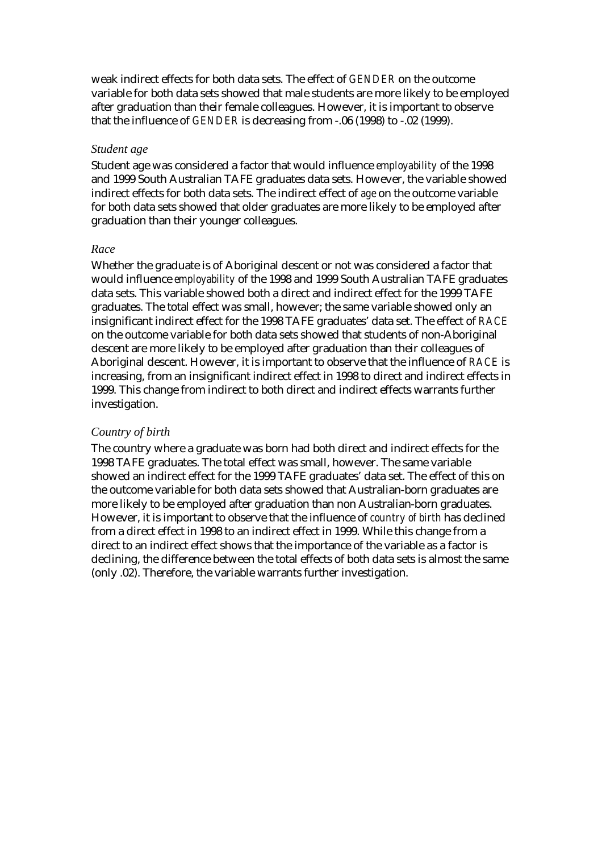weak indirect effects for both data sets. The effect of *GENDER* on the outcome variable for both data sets showed that male students are more likely to be employed after graduation than their female colleagues. However, it is important to observe that the influence of *GENDER* is decreasing from -.06 (1998) to -.02 (1999).

#### *Student age*

Student age was considered a factor that would influence *employability* of the 1998 and 1999 South Australian TAFE graduates data sets. However, the variable showed indirect effects for both data sets. The indirect effect of *age* on the outcome variable for both data sets showed that older graduates are more likely to be employed after graduation than their younger colleagues.

#### *Race*

Whether the graduate is of Aboriginal descent or not was considered a factor that would influence *employability* of the 1998 and 1999 South Australian TAFE graduates data sets. This variable showed both a direct and indirect effect for the 1999 TAFE graduates. The total effect was small, however; the same variable showed only an insignificant indirect effect for the 1998 TAFE graduates' data set. The effect of *RACE*  on the outcome variable for both data sets showed that students of non-Aboriginal descent are more likely to be employed after graduation than their colleagues of Aboriginal descent. However, it is important to observe that the influence of *RACE* is increasing, from an insignificant indirect effect in 1998 to direct and indirect effects in 1999. This change from indirect to both direct and indirect effects warrants further investigation.

#### *Country of birth*

The country where a graduate was born had both direct and indirect effects for the 1998 TAFE graduates. The total effect was small, however. The same variable showed an indirect effect for the 1999 TAFE graduates' data set. The effect of this on the outcome variable for both data sets showed that Australian-born graduates are more likely to be employed after graduation than non Australian-born graduates. However, it is important to observe that the influence of *country of birth* has declined from a direct effect in 1998 to an indirect effect in 1999. While this change from a direct to an indirect effect shows that the importance of the variable as a factor is declining, the difference between the total effects of both data sets is almost the same (only .02). Therefore, the variable warrants further investigation.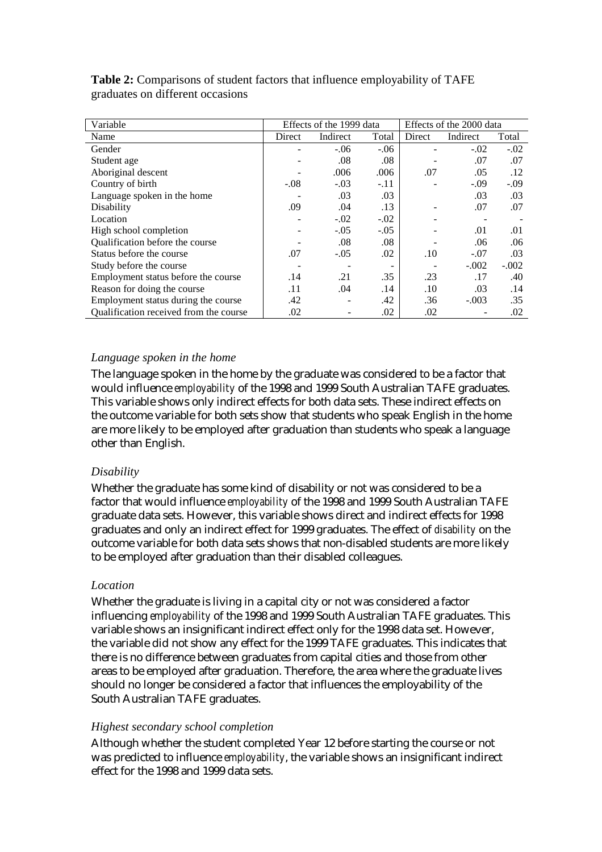| Variable                               |        | Effects of the 1999 data |        | Effects of the 2000 data |          |         |
|----------------------------------------|--------|--------------------------|--------|--------------------------|----------|---------|
| Name                                   | Direct | Indirect                 | Total  | Direct                   | Indirect | Total   |
| Gender                                 |        | $-.06$                   | $-.06$ |                          | $-.02$   | $-.02$  |
| Student age                            |        | .08                      | .08    |                          | .07      | .07     |
| Aboriginal descent                     |        | .006                     | .006   | .07                      | .05      | .12     |
| Country of birth                       | $-.08$ | $-.03$                   | $-.11$ |                          | $-.09$   | $-.09$  |
| Language spoken in the home            |        | .03                      | .03    |                          | .03      | .03     |
| Disability                             | .09    | .04                      | .13    |                          | .07      | .07     |
| Location                               |        | $-.02$                   | $-.02$ |                          |          |         |
| High school completion                 |        | $-.05$                   | $-.05$ |                          | .01      | .01     |
| Qualification before the course        |        | .08                      | .08    |                          | .06      | .06     |
| Status before the course               | .07    | $-.05$                   | .02    | .10                      | $-.07$   | .03     |
| Study before the course                |        |                          |        |                          | $-.002$  | $-.002$ |
| Employment status before the course    | .14    | .21                      | .35    | .23                      | .17      | .40     |
| Reason for doing the course            | .11    | .04                      | .14    | .10                      | .03      | .14     |
| Employment status during the course    | .42    |                          | .42    | .36                      | $-.003$  | .35     |
| Qualification received from the course | .02    |                          | .02    | .02                      |          | .02     |

**Table 2:** Comparisons of student factors that influence employability of TAFE graduates on different occasions

### *Language spoken in the home*

The language spoken in the home by the graduate was considered to be a factor that would influence *employability* of the 1998 and 1999 South Australian TAFE graduates. This variable shows only indirect effects for both data sets. These indirect effects on the outcome variable for both sets show that students who speak English in the home are more likely to be employed after graduation than students who speak a language other than English.

### *Disability*

Whether the graduate has some kind of disability or not was considered to be a factor that would influence *employability* of the 1998 and 1999 South Australian TAFE graduate data sets. However, this variable shows direct and indirect effects for 1998 graduates and only an indirect effect for 1999 graduates. The effect of *disability* on the outcome variable for both data sets shows that non-disabled students are more likely to be employed after graduation than their disabled colleagues.

### *Location*

Whether the graduate is living in a capital city or not was considered a factor influencing *employability* of the 1998 and 1999 South Australian TAFE graduates. This variable shows an insignificant indirect effect only for the 1998 data set. However, the variable did not show any effect for the 1999 TAFE graduates. This indicates that there is no difference between graduates from capital cities and those from other areas to be employed after graduation. Therefore, the area where the graduate lives should no longer be considered a factor that influences the employability of the South Australian TAFE graduates.

### *Highest secondary school completion*

Although whether the student completed Year 12 before starting the course or not was predicted to influence *employability*, the variable shows an insignificant indirect effect for the 1998 and 1999 data sets.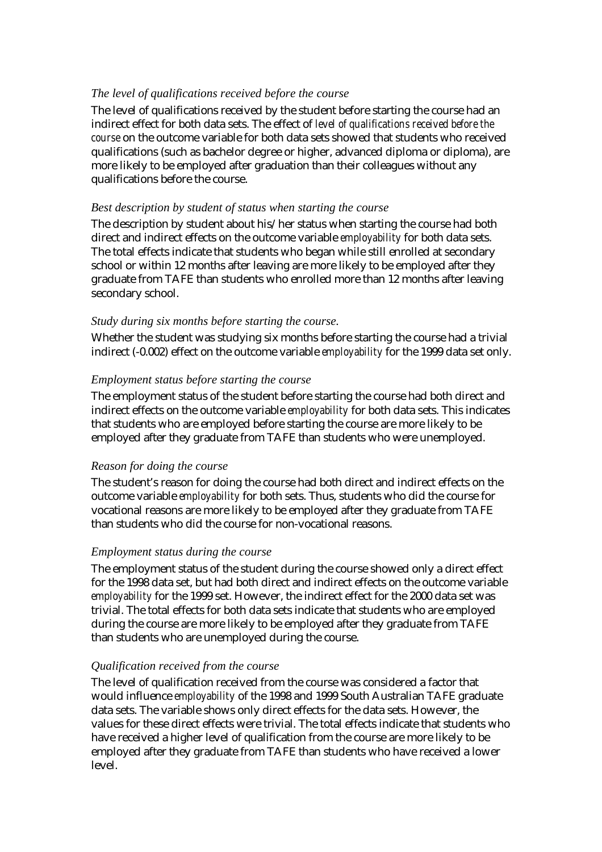### *The level of qualifications received before the course*

The level of qualifications received by the student before starting the course had an indirect effect for both data sets. The effect of *level of qualifications received before the course* on the outcome variable for both data sets showed that students who received qualifications (such as bachelor degree or higher, advanced diploma or diploma), are more likely to be employed after graduation than their colleagues without any qualifications before the course.

### *Best description by student of status when starting the course*

The description by student about his/her status when starting the course had both direct and indirect effects on the outcome variable *employability* for both data sets. The total effects indicate that students who began while still enrolled at secondary school or within 12 months after leaving are more likely to be employed after they graduate from TAFE than students who enrolled more than 12 months after leaving secondary school.

### *Study during six months before starting the course.*

Whether the student was studying six months before starting the course had a trivial indirect (-0.002) effect on the outcome variable *employability* for the 1999 data set only.

### *Employment status before starting the course*

The employment status of the student before starting the course had both direct and indirect effects on the outcome variable *employability* for both data sets. This indicates that students who are employed before starting the course are more likely to be employed after they graduate from TAFE than students who were unemployed.

#### *Reason for doing the course*

The student's reason for doing the course had both direct and indirect effects on the outcome variable *employability* for both sets. Thus, students who did the course for vocational reasons are more likely to be employed after they graduate from TAFE than students who did the course for non-vocational reasons.

### *Employment status during the course*

The employment status of the student during the course showed only a direct effect for the 1998 data set, but had both direct and indirect effects on the outcome variable *employability* for the 1999 set. However, the indirect effect for the 2000 data set was trivial. The total effects for both data sets indicate that students who are employed during the course are more likely to be employed after they graduate from TAFE than students who are unemployed during the course.

### *Qualification received from the course*

The level of qualification received from the course was considered a factor that would influence *employability* of the 1998 and 1999 South Australian TAFE graduate data sets. The variable shows only direct effects for the data sets. However, the values for these direct effects were trivial. The total effects indicate that students who have received a higher level of qualification from the course are more likely to be employed after they graduate from TAFE than students who have received a lower level.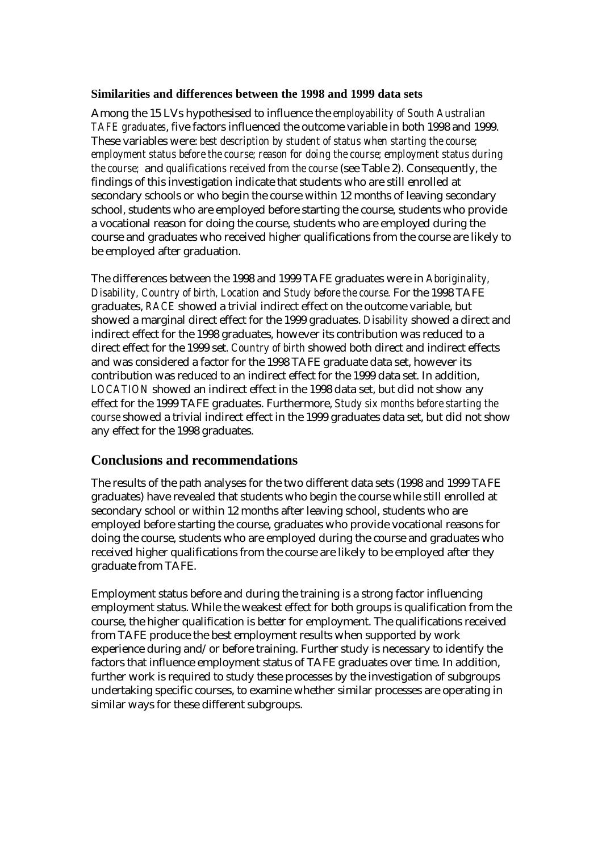#### **Similarities and differences between the 1998 and 1999 data sets**

Among the 15 LVs hypothesised to influence the *employability of South Australian TAFE graduates*, five factors influenced the outcome variable in both 1998 and 1999. These variables were: *best description by student of status when starting the course; employment status before the course; reason for doing the course; employment status during the course;* and *qualifications received from the course* (see Table 2). Consequently, the findings of this investigation indicate that students who are still enrolled at secondary schools or who begin the course within 12 months of leaving secondary school, students who are employed before starting the course, students who provide a vocational reason for doing the course, students who are employed during the course and graduates who received higher qualifications from the course are likely to be employed after graduation.

The differences between the 1998 and 1999 TAFE graduates were in *Aboriginality, Disability, Country of birth, Location* and *Study before the course.* For the 1998 TAFE graduates, *RACE* showed a trivial indirect effect on the outcome variable, but showed a marginal direct effect for the 1999 graduates. *Disability* showed a direct and indirect effect for the 1998 graduates, however its contribution was reduced to a direct effect for the 1999 set. *Country of birth* showed both direct and indirect effects and was considered a factor for the 1998 TAFE graduate data set, however its contribution was reduced to an indirect effect for the 1999 data set. In addition, *LOCATION* showed an indirect effect in the 1998 data set, but did not show any effect for the 1999 TAFE graduates. Furthermore, *Study six months before starting the course* showed a trivial indirect effect in the 1999 graduates data set, but did not show any effect for the 1998 graduates.

# **Conclusions and recommendations**

The results of the path analyses for the two different data sets (1998 and 1999 TAFE graduates) have revealed that students who begin the course while still enrolled at secondary school or within 12 months after leaving school, students who are employed before starting the course, graduates who provide vocational reasons for doing the course, students who are employed during the course and graduates who received higher qualifications from the course are likely to be employed after they graduate from TAFE.

Employment status before and during the training is a strong factor influencing employment status. While the weakest effect for both groups is qualification from the course, the higher qualification is better for employment. The qualifications received from TAFE produce the best employment results when supported by work experience during and/or before training. Further study is necessary to identify the factors that influence employment status of TAFE graduates over time. In addition, further work is required to study these processes by the investigation of subgroups undertaking specific courses, to examine whether similar processes are operating in similar ways for these different subgroups.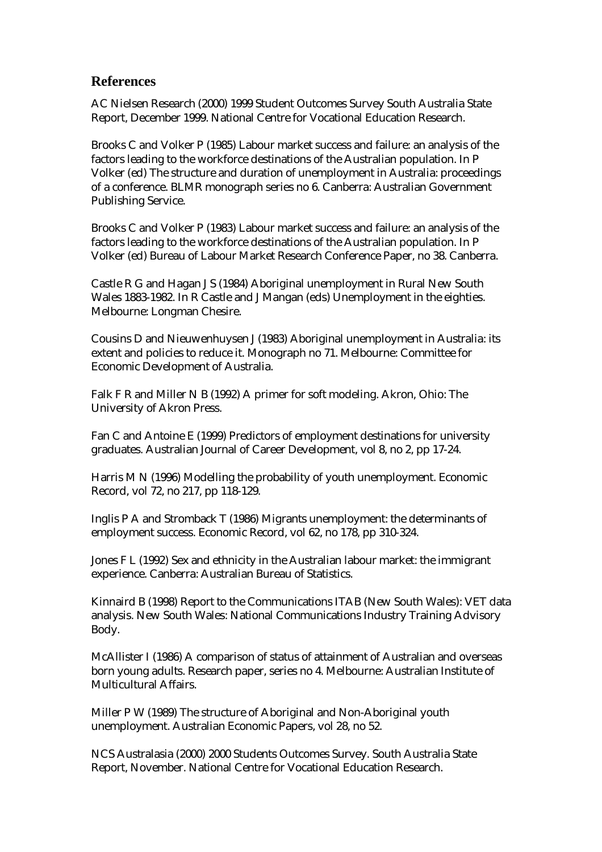### **References**

AC Nielsen Research (2000) 1999 Student Outcomes Survey South Australia State Report, December 1999. National Centre for Vocational Education Research.

Brooks C and Volker P (1985) Labour market success and failure: an analysis of the factors leading to the workforce destinations of the Australian population. In P Volker (ed) The structure and duration of unemployment in Australia: proceedings of a conference. BLMR monograph series no 6. Canberra: Australian Government Publishing Service.

Brooks C and Volker P (1983) Labour market success and failure: an analysis of the factors leading to the workforce destinations of the Australian population. In P Volker (ed) Bureau of Labour Market Research Conference Paper, no 38. Canberra.

Castle R G and Hagan J S (1984) Aboriginal unemployment in Rural New South Wales 1883-1982. In R Castle and J Mangan (eds) Unemployment in the eighties. Melbourne: Longman Chesire.

Cousins D and Nieuwenhuysen J (1983) Aboriginal unemployment in Australia: its extent and policies to reduce it. Monograph no 71. Melbourne: Committee for Economic Development of Australia.

Falk F R and Miller N B (1992) A primer for soft modeling. Akron, Ohio: The University of Akron Press.

Fan C and Antoine E (1999) Predictors of employment destinations for university graduates. Australian Journal of Career Development, vol 8, no 2, pp 17-24.

Harris M N (1996) Modelling the probability of youth unemployment. Economic Record, vol 72, no 217, pp 118-129.

Inglis P A and Stromback T (1986) Migrants unemployment: the determinants of employment success. Economic Record, vol 62, no 178, pp 310-324.

Jones F L (1992) Sex and ethnicity in the Australian labour market: the immigrant experience. Canberra: Australian Bureau of Statistics.

Kinnaird B (1998) Report to the Communications ITAB (New South Wales): VET data analysis. New South Wales: National Communications Industry Training Advisory Body.

McAllister I (1986) A comparison of status of attainment of Australian and overseas born young adults. Research paper, series no 4. Melbourne: Australian Institute of Multicultural Affairs.

Miller P W (1989) The structure of Aboriginal and Non-Aboriginal youth unemployment. Australian Economic Papers, vol 28, no 52.

NCS Australasia (2000) 2000 Students Outcomes Survey. South Australia State Report, November. National Centre for Vocational Education Research.